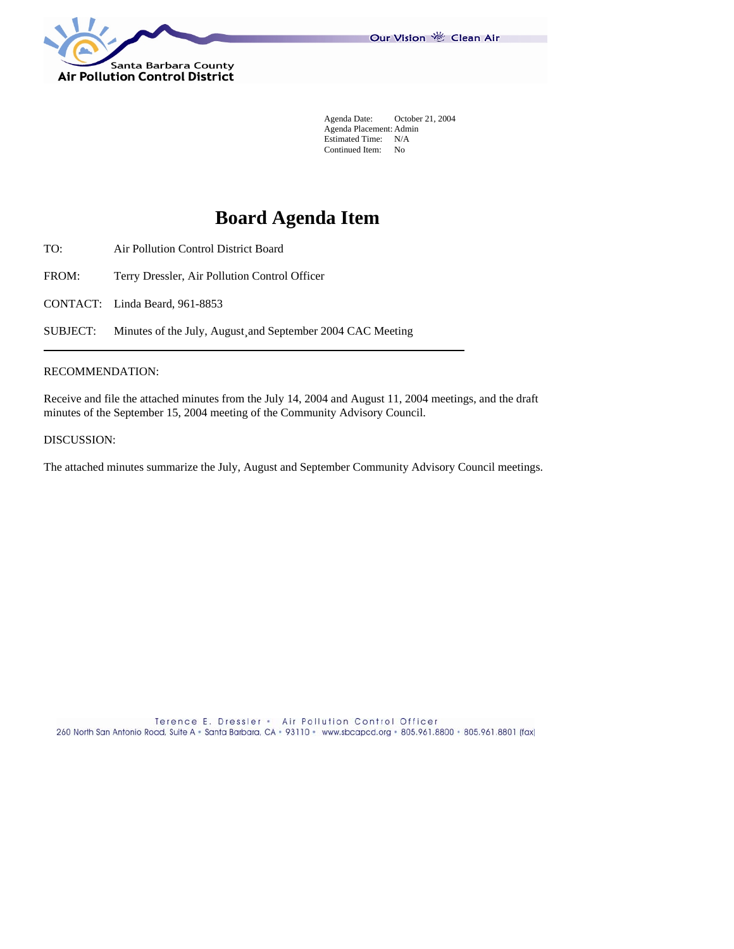

 Agenda Date: October 21, 2004 Agenda Placement: Admin Estimated Time: N/A Continued Item: No

# **Board Agenda Item**

- TO: Air Pollution Control District Board
- FROM: Terry Dressler, Air Pollution Control Officer
- CONTACT: Linda Beard, 961-8853

SUBJECT: Minutes of the July, August¸and September 2004 CAC Meeting

## RECOMMENDATION:

Receive and file the attached minutes from the July 14, 2004 and August 11, 2004 meetings, and the draft minutes of the September 15, 2004 meeting of the Community Advisory Council.

DISCUSSION:

The attached minutes summarize the July, August and September Community Advisory Council meetings.

Terence E. Dressler . Air Pollution Control Officer 260 North San Antonio Road, Suite A - Santa Barbara, CA - 93110 - www.sbcapcd.org - 805.961.8800 - 805.961.8801 (fax)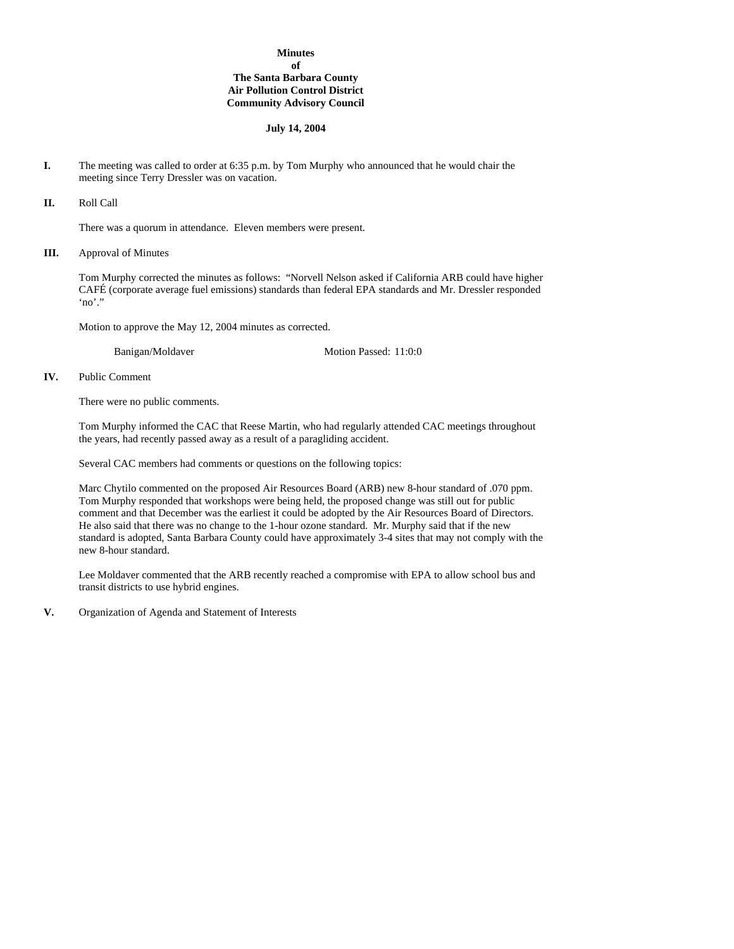# **Minutes of The Santa Barbara County Air Pollution Control District Community Advisory Council**

## **July 14, 2004**

**I.** The meeting was called to order at 6:35 p.m. by Tom Murphy who announced that he would chair the meeting since Terry Dressler was on vacation.

**II.** Roll Call

There was a quorum in attendance. Eleven members were present.

**III.** Approval of Minutes

Tom Murphy corrected the minutes as follows: "Norvell Nelson asked if California ARB could have higher CAFÉ (corporate average fuel emissions) standards than federal EPA standards and Mr. Dressler responded 'no'."

Motion to approve the May 12, 2004 minutes as corrected.

Banigan/Moldaver Motion Passed: 11:0:0

**IV.** Public Comment

There were no public comments.

Tom Murphy informed the CAC that Reese Martin, who had regularly attended CAC meetings throughout the years, had recently passed away as a result of a paragliding accident.

Several CAC members had comments or questions on the following topics:

Marc Chytilo commented on the proposed Air Resources Board (ARB) new 8-hour standard of .070 ppm. Tom Murphy responded that workshops were being held, the proposed change was still out for public comment and that December was the earliest it could be adopted by the Air Resources Board of Directors. He also said that there was no change to the 1-hour ozone standard. Mr. Murphy said that if the new standard is adopted, Santa Barbara County could have approximately 3-4 sites that may not comply with the new 8-hour standard.

Lee Moldaver commented that the ARB recently reached a compromise with EPA to allow school bus and transit districts to use hybrid engines.

**V.** Organization of Agenda and Statement of Interests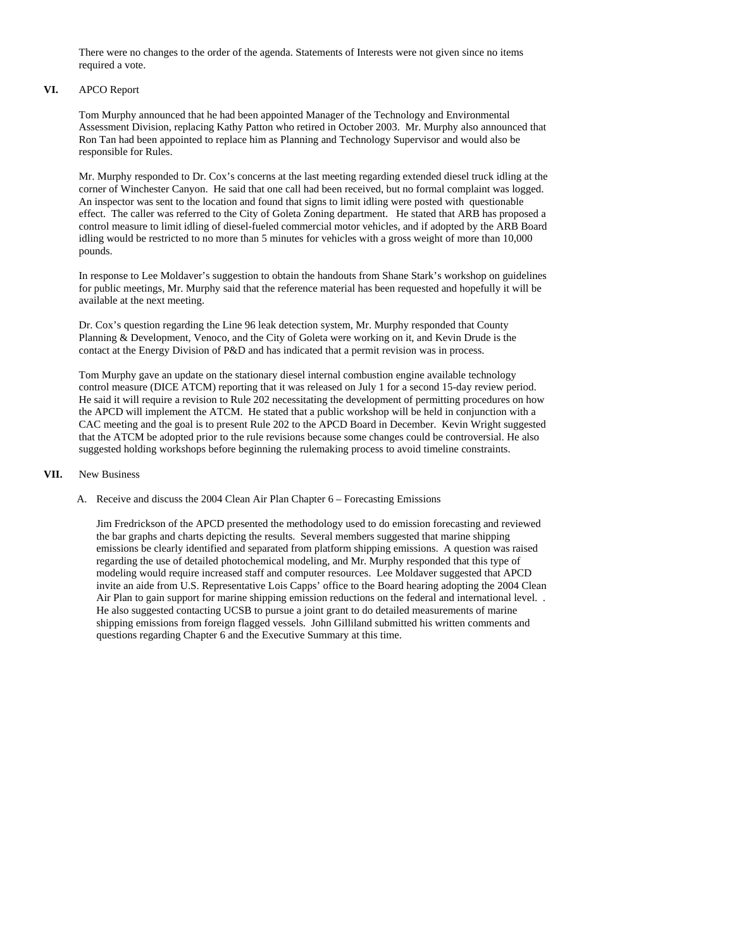There were no changes to the order of the agenda. Statements of Interests were not given since no items required a vote.

# **VI.** APCO Report

Tom Murphy announced that he had been appointed Manager of the Technology and Environmental Assessment Division, replacing Kathy Patton who retired in October 2003. Mr. Murphy also announced that Ron Tan had been appointed to replace him as Planning and Technology Supervisor and would also be responsible for Rules.

Mr. Murphy responded to Dr. Cox's concerns at the last meeting regarding extended diesel truck idling at the corner of Winchester Canyon. He said that one call had been received, but no formal complaint was logged. An inspector was sent to the location and found that signs to limit idling were posted with questionable effect. The caller was referred to the City of Goleta Zoning department. He stated that ARB has proposed a control measure to limit idling of diesel-fueled commercial motor vehicles, and if adopted by the ARB Board idling would be restricted to no more than 5 minutes for vehicles with a gross weight of more than 10,000 pounds.

In response to Lee Moldaver's suggestion to obtain the handouts from Shane Stark's workshop on guidelines for public meetings, Mr. Murphy said that the reference material has been requested and hopefully it will be available at the next meeting.

Dr. Cox's question regarding the Line 96 leak detection system, Mr. Murphy responded that County Planning & Development, Venoco, and the City of Goleta were working on it, and Kevin Drude is the contact at the Energy Division of P&D and has indicated that a permit revision was in process.

Tom Murphy gave an update on the stationary diesel internal combustion engine available technology control measure (DICE ATCM) reporting that it was released on July 1 for a second 15-day review period. He said it will require a revision to Rule 202 necessitating the development of permitting procedures on how the APCD will implement the ATCM. He stated that a public workshop will be held in conjunction with a CAC meeting and the goal is to present Rule 202 to the APCD Board in December. Kevin Wright suggested that the ATCM be adopted prior to the rule revisions because some changes could be controversial. He also suggested holding workshops before beginning the rulemaking process to avoid timeline constraints.

#### **VII.** New Business

A. Receive and discuss the 2004 Clean Air Plan Chapter 6 – Forecasting Emissions

Jim Fredrickson of the APCD presented the methodology used to do emission forecasting and reviewed the bar graphs and charts depicting the results. Several members suggested that marine shipping emissions be clearly identified and separated from platform shipping emissions. A question was raised regarding the use of detailed photochemical modeling, and Mr. Murphy responded that this type of modeling would require increased staff and computer resources. Lee Moldaver suggested that APCD invite an aide from U.S. Representative Lois Capps' office to the Board hearing adopting the 2004 Clean Air Plan to gain support for marine shipping emission reductions on the federal and international level.. He also suggested contacting UCSB to pursue a joint grant to do detailed measurements of marine shipping emissions from foreign flagged vessels. John Gilliland submitted his written comments and questions regarding Chapter 6 and the Executive Summary at this time.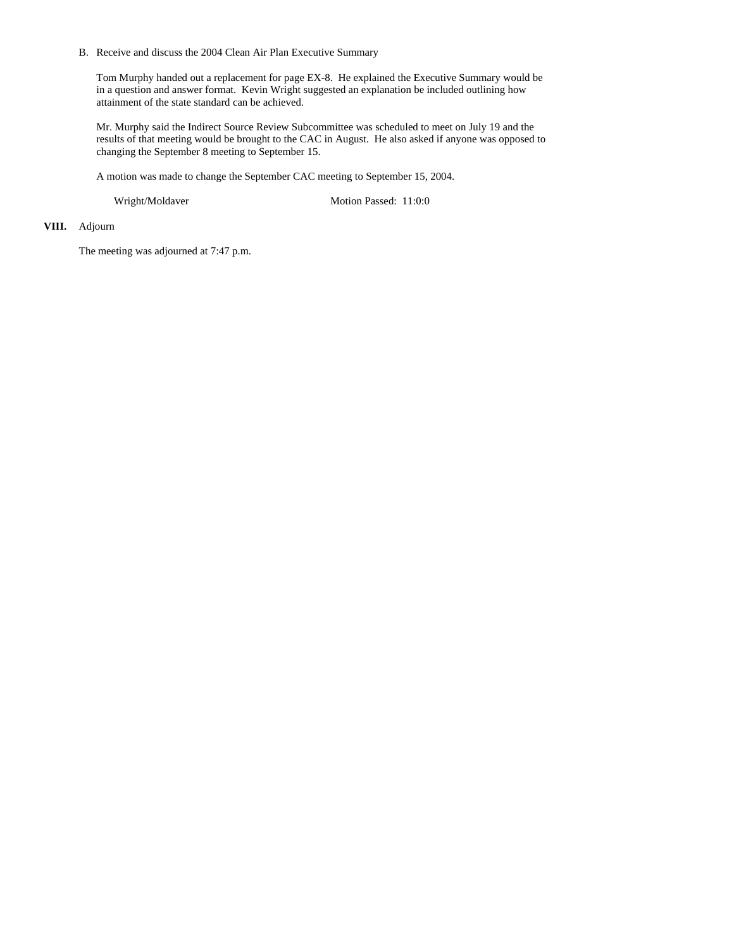B. Receive and discuss the 2004 Clean Air Plan Executive Summary

Tom Murphy handed out a replacement for page EX-8. He explained the Executive Summary would be in a question and answer format. Kevin Wright suggested an explanation be included outlining how attainment of the state standard can be achieved.

Mr. Murphy said the Indirect Source Review Subcommittee was scheduled to meet on July 19 and the results of that meeting would be brought to the CAC in August. He also asked if anyone was opposed to changing the September 8 meeting to September 15.

A motion was made to change the September CAC meeting to September 15, 2004.

Wright/Moldaver Motion Passed: 11:0:0

# **VIII.** Adjourn

The meeting was adjourned at 7:47 p.m.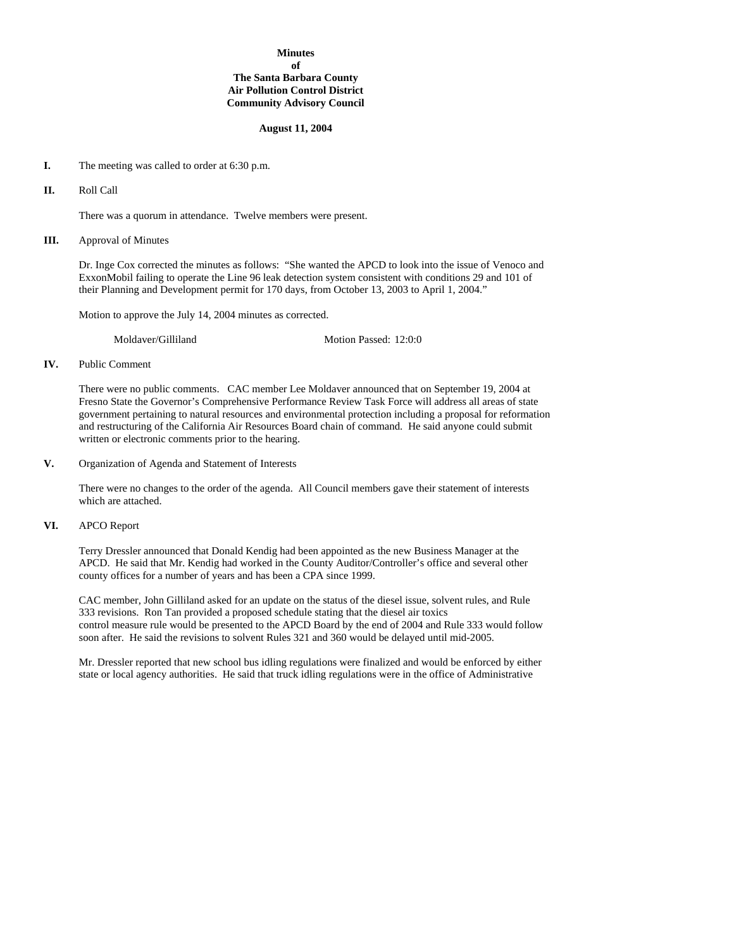# **Minutes of The Santa Barbara County Air Pollution Control District Community Advisory Council**

## **August 11, 2004**

- **I.** The meeting was called to order at 6:30 p.m.
- **II.** Roll Call

There was a quorum in attendance. Twelve members were present.

**III.** Approval of Minutes

Dr. Inge Cox corrected the minutes as follows: "She wanted the APCD to look into the issue of Venoco and ExxonMobil failing to operate the Line 96 leak detection system consistent with conditions 29 and 101 of their Planning and Development permit for 170 days, from October 13, 2003 to April 1, 2004."

Motion to approve the July 14, 2004 minutes as corrected.

Moldaver/Gilliland Motion Passed: 12:0:0

### **IV.** Public Comment

There were no public comments. CAC member Lee Moldaver announced that on September 19, 2004 at Fresno State the Governor's Comprehensive Performance Review Task Force will address all areas of state government pertaining to natural resources and environmental protection including a proposal for reformation and restructuring of the California Air Resources Board chain of command. He said anyone could submit written or electronic comments prior to the hearing.

**V.** Organization of Agenda and Statement of Interests

There were no changes to the order of the agenda. All Council members gave their statement of interests which are attached.

## **VI.** APCO Report

 Terry Dressler announced that Donald Kendig had been appointed as the new Business Manager at the APCD. He said that Mr. Kendig had worked in the County Auditor/Controller's office and several other county offices for a number of years and has been a CPA since 1999.

 CAC member, John Gilliland asked for an update on the status of the diesel issue, solvent rules, and Rule 333 revisions. Ron Tan provided a proposed schedule stating that the diesel air toxics control measure rule would be presented to the APCD Board by the end of 2004 and Rule 333 would follow soon after. He said the revisions to solvent Rules 321 and 360 would be delayed until mid-2005.

Mr. Dressler reported that new school bus idling regulations were finalized and would be enforced by either state or local agency authorities. He said that truck idling regulations were in the office of Administrative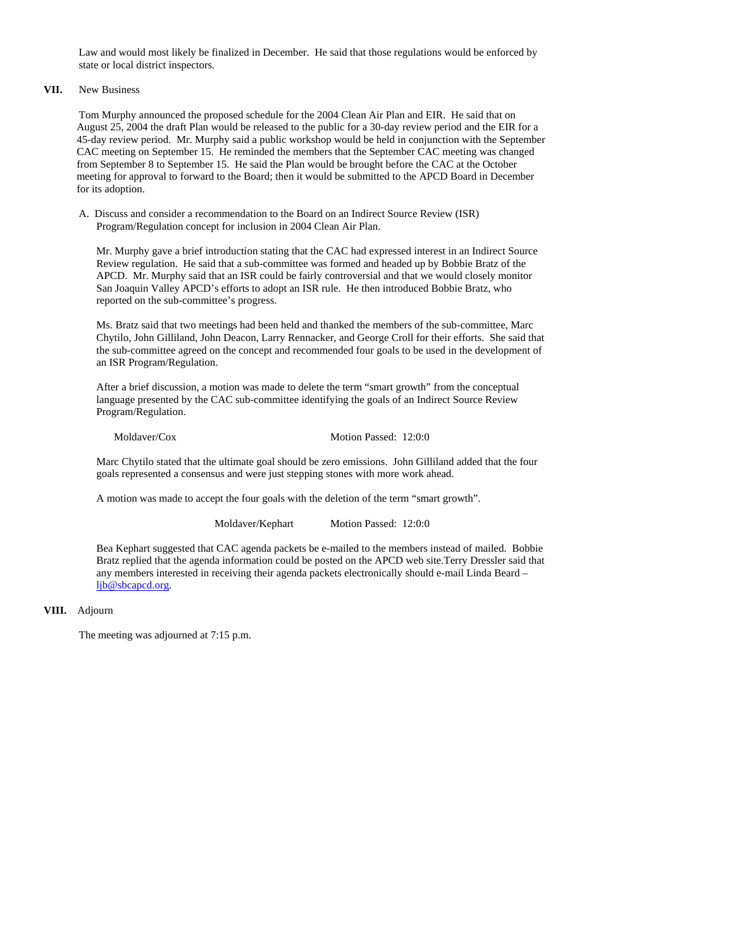Law and would most likely be finalized in December. He said that those regulations would be enforced by state or local district inspectors.

# **VII.** New Business

 Tom Murphy announced the proposed schedule for the 2004 Clean Air Plan and EIR. He said that on August 25, 2004 the draft Plan would be released to the public for a 30-day review period and the EIR for a 45-day review period. Mr. Murphy said a public workshop would be held in conjunction with the September CAC meeting on September 15. He reminded the members that the September CAC meeting was changed from September 8 to September 15. He said the Plan would be brought before the CAC at the October meeting for approval to forward to the Board; then it would be submitted to the APCD Board in December for its adoption.

A. Discuss and consider a recommendation to the Board on an Indirect Source Review (ISR) Program/Regulation concept for inclusion in 2004 Clean Air Plan.

Mr. Murphy gave a brief introduction stating that the CAC had expressed interest in an Indirect Source Review regulation. He said that a sub-committee was formed and headed up by Bobbie Bratz of the APCD. Mr. Murphy said that an ISR could be fairly controversial and that we would closely monitor San Joaquin Valley APCD's efforts to adopt an ISR rule. He then introduced Bobbie Bratz, who reported on the sub-committee's progress.

Ms. Bratz said that two meetings had been held and thanked the members of the sub-committee, Marc Chytilo, John Gilliland, John Deacon, Larry Rennacker, and George Croll for their efforts. She said that the sub-committee agreed on the concept and recommended four goals to be used in the development of an ISR Program/Regulation.

After a brief discussion, a motion was made to delete the term "smart growth" from the conceptual language presented by the CAC sub-committee identifying the goals of an Indirect Source Review Program/Regulation.

Moldaver/Cox Motion Passed: 12:0:0

 Marc Chytilo stated that the ultimate goal should be zero emissions. John Gilliland added that the four goals represented a consensus and were just stepping stones with more work ahead.

A motion was made to accept the four goals with the deletion of the term "smart growth".

Moldaver/Kephart Motion Passed: 12:0:0

Bea Kephart suggested that CAC agenda packets be e-mailed to the members instead of mailed. Bobbie Bratz replied that the agenda information could be posted on the APCD web site.Terry Dressler said that any members interested in receiving their agenda packets electronically should e-mail Linda Beard – ljb@sbcapcd.org.

## **VIII.** Adjourn

The meeting was adjourned at 7:15 p.m.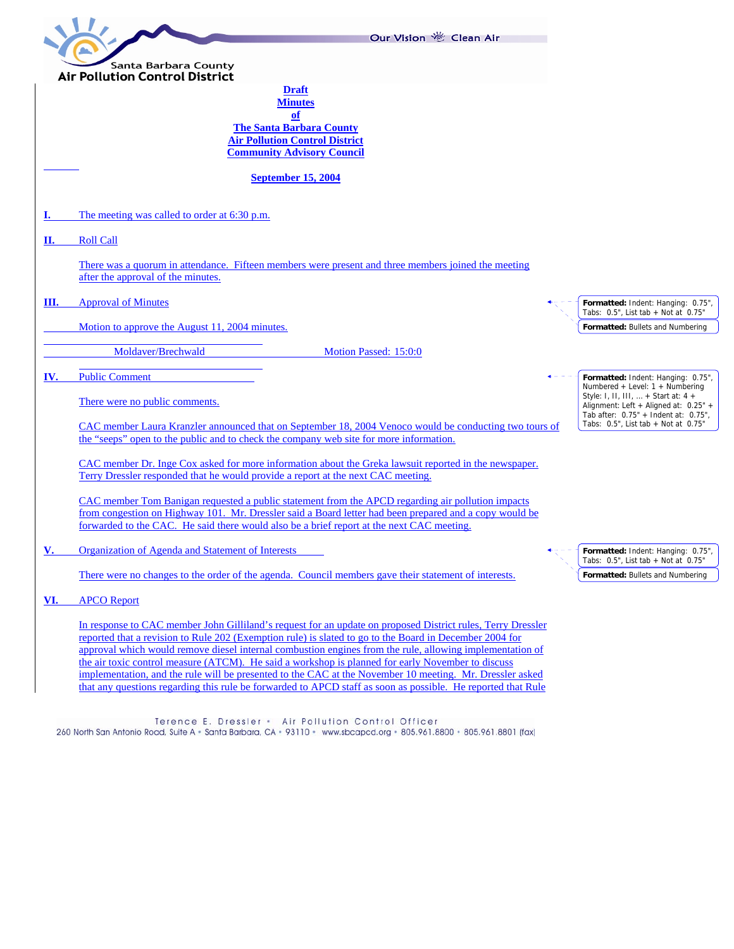|                                       | Our Vision & Clean Air                                                                                                                                                                                                 |  |                                                                                                                                  |
|---------------------------------------|------------------------------------------------------------------------------------------------------------------------------------------------------------------------------------------------------------------------|--|----------------------------------------------------------------------------------------------------------------------------------|
|                                       | Santa Barbara County                                                                                                                                                                                                   |  |                                                                                                                                  |
| <b>Air Pollution Control District</b> |                                                                                                                                                                                                                        |  |                                                                                                                                  |
|                                       | <b>Draft</b><br><b>Minutes</b><br>of                                                                                                                                                                                   |  |                                                                                                                                  |
|                                       | <b>The Santa Barbara County</b><br><b>Air Pollution Control District</b><br><b>Community Advisory Council</b>                                                                                                          |  |                                                                                                                                  |
|                                       | <b>September 15, 2004</b>                                                                                                                                                                                              |  |                                                                                                                                  |
|                                       | The meeting was called to order at 6:30 p.m.                                                                                                                                                                           |  |                                                                                                                                  |
| П.                                    | <b>Roll Call</b>                                                                                                                                                                                                       |  |                                                                                                                                  |
|                                       | There was a quorum in attendance. Fifteen members were present and three members joined the meeting<br>after the approval of the minutes.                                                                              |  |                                                                                                                                  |
| Ш.                                    | <b>Approval of Minutes</b>                                                                                                                                                                                             |  | Formatted: Indent: Hanging: 0.75",<br>Tabs: $0.5$ ", List tab + Not at $0.75$ "                                                  |
|                                       | Motion to approve the August 11, 2004 minutes.                                                                                                                                                                         |  | <b>Formatted: Bullets and Numbering</b>                                                                                          |
|                                       | Moldaver/Brechwald<br>Motion Passed: 15:0:0                                                                                                                                                                            |  |                                                                                                                                  |
| IV.                                   | <b>Public Comment</b>                                                                                                                                                                                                  |  | Formatted: Indent: Hanging: 0.75",<br>Numbered + Level: $1 +$ Numbering                                                          |
|                                       | There were no public comments.                                                                                                                                                                                         |  | Style: I, II, III, $\dots$ + Start at: 4 +<br>Alignment: Left + Aligned at: 0.25" +<br>Tab after: $0.75" +$ Indent at: $0.75"$ , |
|                                       | CAC member Laura Kranzler announced that on September 18, 2004 Venoco would be conducting two tours of                                                                                                                 |  | Tabs: $0.5$ ", List tab + Not at $0.75$ "                                                                                        |
|                                       | the "seeps" open to the public and to check the company web site for more information.                                                                                                                                 |  |                                                                                                                                  |
|                                       | CAC member Dr. Inge Cox asked for more information about the Greka lawsuit reported in the newspaper.<br>Terry Dressler responded that he would provide a report at the next CAC meeting.                              |  |                                                                                                                                  |
|                                       | CAC member Tom Banigan requested a public statement from the APCD regarding air pollution impacts                                                                                                                      |  |                                                                                                                                  |
|                                       | from congestion on Highway 101. Mr. Dressler said a Board letter had been prepared and a copy would be<br>forwarded to the CAC. He said there would also be a brief report at the next CAC meeting.                    |  |                                                                                                                                  |
| V.                                    | <b>Organization of Agenda and Statement of Interests</b>                                                                                                                                                               |  | Formatted: Indent: Hanging: 0.75",<br>Tabs: $0.5$ ", List tab + Not at $0.75$ '                                                  |
|                                       | There were no changes to the order of the agenda. Council members gave their statement of interests.                                                                                                                   |  | <b>Formatted: Bullets and Numbering</b>                                                                                          |
| VI.                                   | <b>APCO</b> Report                                                                                                                                                                                                     |  |                                                                                                                                  |
|                                       | In response to CAC member John Gilliland's request for an update on proposed District rules, Terry Dressler<br>reported that a revision to Rule 202 (Exemption rule) is slated to go to the Board in December 2004 for |  |                                                                                                                                  |
|                                       | approval which would remove diesel internal combustion engines from the rule, allowing implementation of                                                                                                               |  |                                                                                                                                  |
|                                       | the air toxic control measure (ATCM). He said a workshop is planned for early November to discuss<br>implementation, and the rule will be presented to the CAC at the November 10 meeting. Mr. Dressler asked          |  |                                                                                                                                  |
|                                       | that any questions regarding this rule be forwarded to APCD staff as soon as possible. He reported that Rule                                                                                                           |  |                                                                                                                                  |

Terence E. Dressler • Air Pollution Control Officer<br>260 North San Antonio Road, Suite A • Santa Barbara, CA • 93110 • www.sbcapcd.org • 805.961.8800 • 805.961.8801 (fax)